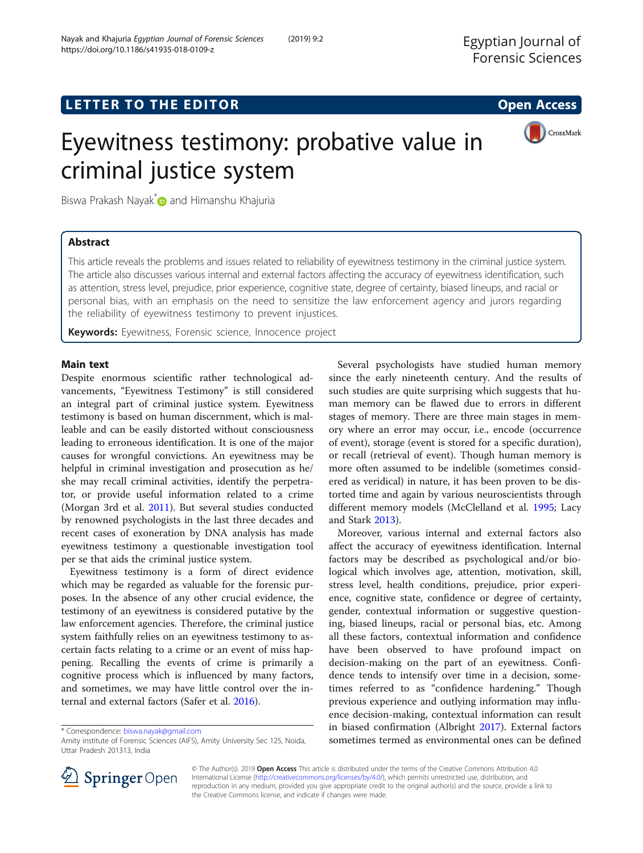CrossMark

# Eyewitness testimony: probative value in criminal justice system

Biswa Prakash Nayak<sup>\*</sup> and Himanshu Khajuria

# Abstract

This article reveals the problems and issues related to reliability of eyewitness testimony in the criminal justice system. The article also discusses various internal and external factors affecting the accuracy of eyewitness identification, such as attention, stress level, prejudice, prior experience, cognitive state, degree of certainty, biased lineups, and racial or personal bias, with an emphasis on the need to sensitize the law enforcement agency and jurors regarding the reliability of eyewitness testimony to prevent injustices.

Keywords: Eyewitness, Forensic science, Innocence project

# Main text

Despite enormous scientific rather technological advancements, "Eyewitness Testimony" is still considered an integral part of criminal justice system. Eyewitness testimony is based on human discernment, which is malleable and can be easily distorted without consciousness leading to erroneous identification. It is one of the major causes for wrongful convictions. An eyewitness may be helpful in criminal investigation and prosecution as he/ she may recall criminal activities, identify the perpetrator, or provide useful information related to a crime (Morgan 3rd et al. [2011](#page-1-0)). But several studies conducted by renowned psychologists in the last three decades and recent cases of exoneration by DNA analysis has made eyewitness testimony a questionable investigation tool per se that aids the criminal justice system.

Eyewitness testimony is a form of direct evidence which may be regarded as valuable for the forensic purposes. In the absence of any other crucial evidence, the testimony of an eyewitness is considered putative by the law enforcement agencies. Therefore, the criminal justice system faithfully relies on an eyewitness testimony to ascertain facts relating to a crime or an event of miss happening. Recalling the events of crime is primarily a cognitive process which is influenced by many factors, and sometimes, we may have little control over the internal and external factors (Safer et al. [2016\)](#page-1-0).

\* Correspondence: [biswa.nayak@gmail.com](mailto:biswa.nayak@gmail.com)



Moreover, various internal and external factors also affect the accuracy of eyewitness identification. Internal factors may be described as psychological and/or biological which involves age, attention, motivation, skill, stress level, health conditions, prejudice, prior experience, cognitive state, confidence or degree of certainty, gender, contextual information or suggestive questioning, biased lineups, racial or personal bias, etc. Among all these factors, contextual information and confidence have been observed to have profound impact on decision-making on the part of an eyewitness. Confidence tends to intensify over time in a decision, sometimes referred to as "confidence hardening." Though previous experience and outlying information may influence decision-making, contextual information can result in biased confirmation (Albright [2017\)](#page-1-0). External factors sometimes termed as environmental ones can be defined



© The Author(s). 2019 Open Access This article is distributed under the terms of the Creative Commons Attribution 4.0 International License ([http://creativecommons.org/licenses/by/4.0/\)](http://creativecommons.org/licenses/by/4.0/), which permits unrestricted use, distribution, and reproduction in any medium, provided you give appropriate credit to the original author(s) and the source, provide a link to the Creative Commons license, and indicate if changes were made.

Amity institute of Forensic Sciences (AIFS), Amity University Sec 125, Noida, Uttar Pradesh 201313, India